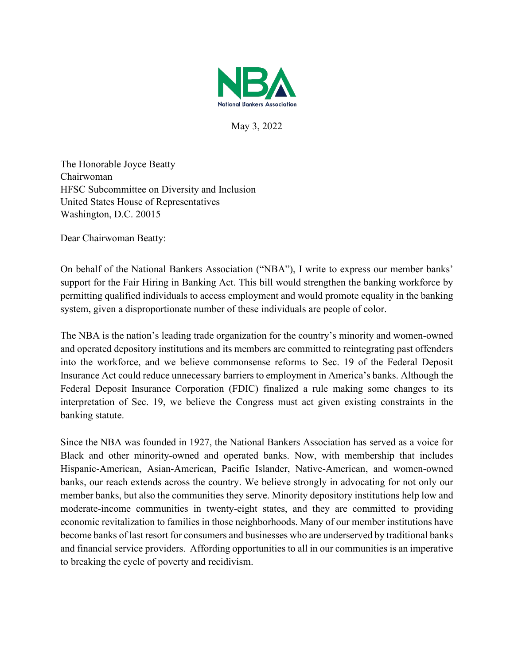

May 3, 2022

The Honorable Joyce Beatty Chairwoman HFSC Subcommittee on Diversity and Inclusion United States House of Representatives Washington, D.C. 20015

Dear Chairwoman Beatty:

On behalf of the National Bankers Association ("NBA"), I write to express our member banks' support for the Fair Hiring in Banking Act. This bill would strengthen the banking workforce by permitting qualified individuals to access employment and would promote equality in the banking system, given a disproportionate number of these individuals are people of color.

The NBA is the nation's leading trade organization for the country's minority and women-owned and operated depository institutions and its members are committed to reintegrating past offenders into the workforce, and we believe commonsense reforms to Sec. 19 of the Federal Deposit Insurance Act could reduce unnecessary barriers to employment in America's banks. Although the Federal Deposit Insurance Corporation (FDIC) finalized a rule making some changes to its interpretation of Sec. 19, we believe the Congress must act given existing constraints in the banking statute.

Since the NBA was founded in 1927, the National Bankers Association has served as a voice for Black and other minority-owned and operated banks. Now, with membership that includes Hispanic-American, Asian-American, Pacific Islander, Native-American, and women-owned banks, our reach extends across the country. We believe strongly in advocating for not only our member banks, but also the communities they serve. Minority depository institutions help low and moderate-income communities in twenty-eight states, and they are committed to providing economic revitalization to families in those neighborhoods. Many of our member institutions have become banks of last resort for consumers and businesses who are underserved by traditional banks and financial service providers. Affording opportunities to all in our communities is an imperative to breaking the cycle of poverty and recidivism.